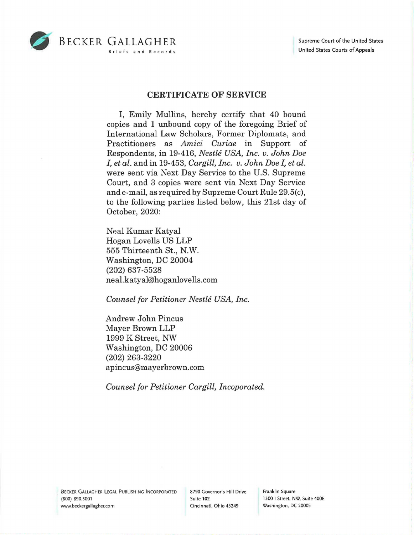

## **CERTIFICATE OF SERVICE**

I, Emily Mullins, hereby certify that 40 bound copies and 1 unbound copy of the foregoing Brief of International Law Scholars, Former Diplomats, and Practitioners as *Amici Curiae* in Support of Respondents, in 19-416, *Nestle USA, Inc. v. John Doe I, et al.* and in 19-453, *Cargill, Inc. v. John Doe I, et al.*  were sent via Next Day Service to the U.S. Supreme Court, and 3 copies were sent via Next Day Service and e-mail, as required by Supreme Court Rule 29.5(c), to the following parties listed below, this 21st day of October, 2020:

Neal Kumar Katyal Hogan Lovells US LLP 555 Thirteenth St., N.W. Washington, DC 20004 (202) 637-5528 neal.katyal@hoganlovells.com

*Counsel for Petitioner Nestle USA, Inc.* 

Andrew John Pincus Mayer Brown LLP 1999 K Street, NW Washington, DC 20006 (202) 263-3220 apincus@mayerbrown.com

*Counsel for Petitioner Cargill, Incoporated.* 

Franklin Square 1300 I Street, NW, Suite 400E Washington, DC 20005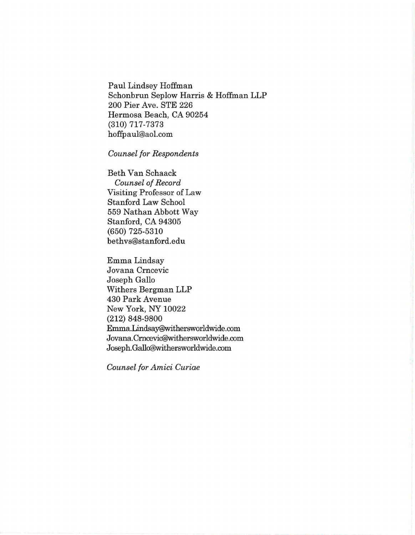Paul Lindsey Hoffman Schonbrun Seplow Harris & Hoffman LLP 200 Pier Ave. STE 226 Hermosa Beach, CA 90254 (310) 717-7373 hoffpaul@aol.com

## *Counsel for Respondents*

Beth Van Schaack *Counsel of Record*  Visiting Professor of Law Stanford Law School 559 Nathan Abbott Way Stanford, CA 94305 (650) 725-5310 bethvs@stanford.edu

Emma Lindsay Jovana Crncevic Joseph Gallo Withers Bergman LLP 430 Park Avenue New York, NY 10022 (212) 848-9800 Emma.Lindsay@withersworldwide.com Jovana.Cmcevic@withersworldwide.com Joseph.Gallo@withersworldwide.com

*Counsel for Amici Curiae*